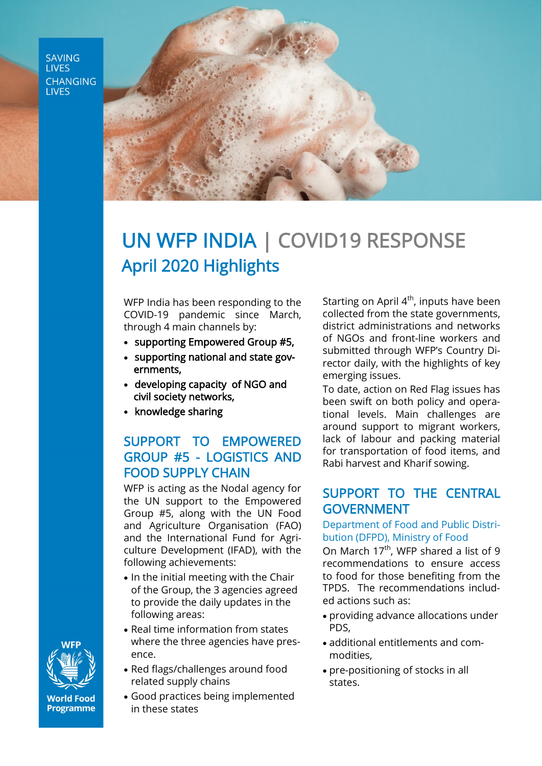**SAVING LIVES CHANGING LIVES** 



# UN WFP INDIA | COVID19 RESPONSE April 2020 Highlights

WFP India has been responding to the COVID-19 pandemic since March, through 4 main channels by:

- supporting Empowered Group #5,
- supporting national and state governments,
- developing capacity of NGO and civil society networks,
- knowledge sharing

# SUPPORT TO EMPOWERED GROUP #5 - LOGISTICS AND FOOD SUPPLY CHAIN

WFP is acting as the Nodal agency for the UN support to the Empowered Group #5, along with the UN Food and Agriculture Organisation (FAO) and the International Fund for Agriculture Development (IFAD), with the following achievements:

- In the initial meeting with the Chair of the Group, the 3 agencies agreed to provide the daily updates in the following areas:
- Real time information from states where the three agencies have presence.
- Red flags/challenges around food related supply chains
- Good practices being implemented in these states

Starting on April  $4<sup>th</sup>$ , inputs have been collected from the state governments, district administrations and networks of NGOs and front-line workers and submitted through WFP's Country Director daily, with the highlights of key emerging issues.

To date, action on Red Flag issues has been swift on both policy and operational levels. Main challenges are around support to migrant workers, lack of labour and packing material for transportation of food items, and Rabi harvest and Kharif sowing.

## SUPPORT TO THE CENTRAL GOVERNMENT

#### Department of Food and Public Distribution (DFPD), Ministry of Food

On March  $17<sup>th</sup>$ , WFP shared a list of 9 recommendations to ensure access to food for those benefiting from the TPDS. The recommendations included actions such as:

- providing advance allocations under PDS,
- additional entitlements and commodities,
- pre-positioning of stocks in all states.



**World Food Programme**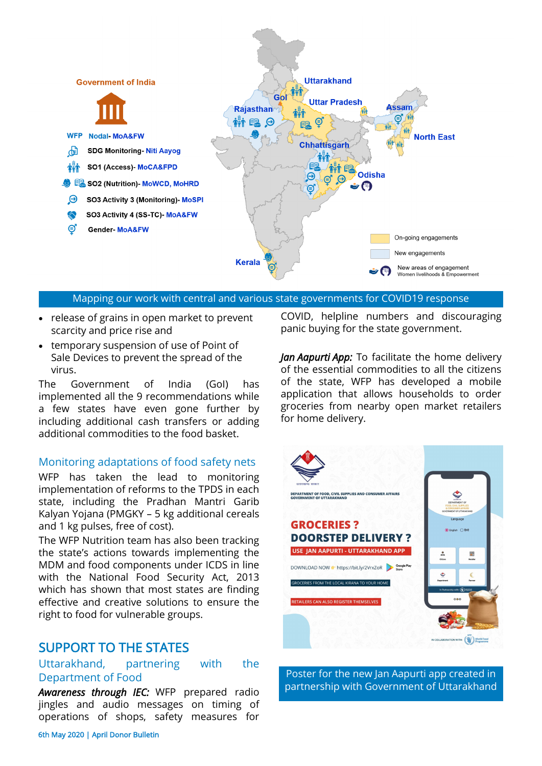

#### Mapping our work with central and various state governments for COVID19 response

- release of grains in open market to prevent scarcity and price rise and
- temporary suspension of use of Point of Sale Devices to prevent the spread of the virus.

The Government of India (GoI) has implemented all the 9 recommendations while a few states have even gone further by including additional cash transfers or adding additional commodities to the food basket.

#### Monitoring adaptations of food safety nets

WFP has taken the lead to monitoring implementation of reforms to the TPDS in each state, including the Pradhan Mantri Garib Kalyan Yojana (PMGKY – 5 kg additional cereals and 1 kg pulses, free of cost).

The WFP Nutrition team has also been tracking the state's actions towards implementing the MDM and food components under ICDS in line with the National Food Security Act, 2013 which has shown that most states are finding effective and creative solutions to ensure the right to food for vulnerable groups.

### SUPPORT TO THE STATES

#### Uttarakhand, partnering with the Department of Food

*Awareness through IEC:* WFP prepared radio jingles and audio messages on timing of operations of shops, safety measures for

COVID, helpline numbers and discouraging panic buying for the state government.

*Jan Aapurti App:* To facilitate the home delivery of the essential commodities to all the citizens of the state, WFP has developed a mobile application that allows households to order groceries from nearby open market retailers for home delivery.



Poster for the new Jan Aapurti app created in partnership with Government of Uttarakhand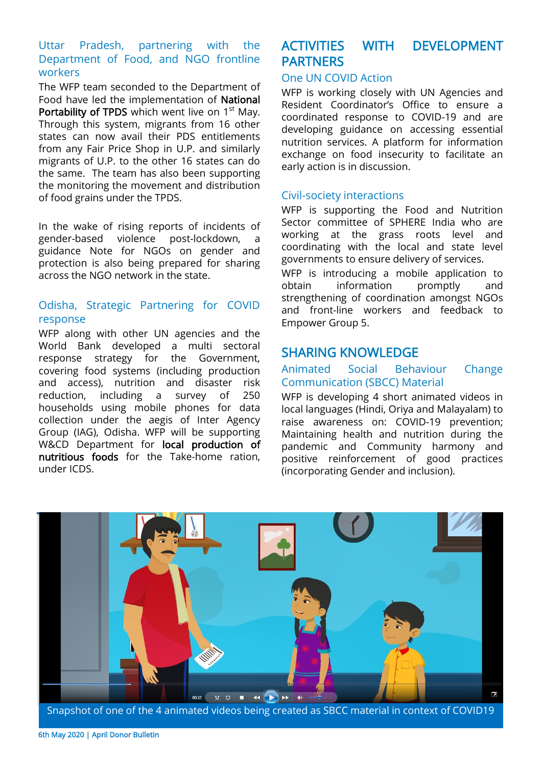#### Uttar Pradesh, partnering with the Department of Food, and NGO frontline workers

The WFP team seconded to the Department of Food have led the implementation of National Portability of TPDS which went live on 1<sup>st</sup> May. Through this system, migrants from 16 other states can now avail their PDS entitlements from any Fair Price Shop in U.P. and similarly migrants of U.P. to the other 16 states can do the same. The team has also been supporting the monitoring the movement and distribution of food grains under the TPDS.

In the wake of rising reports of incidents of gender-based violence post-lockdown, a guidance Note for NGOs on gender and protection is also being prepared for sharing across the NGO network in the state.

#### Odisha, Strategic Partnering for COVID response

WFP along with other UN agencies and the World Bank developed a multi sectoral response strategy for the Government, covering food systems (including production and access), nutrition and disaster risk reduction, including a survey of 250 households using mobile phones for data collection under the aegis of Inter Agency Group (IAG), Odisha. WFP will be supporting W&CD Department for local production of nutritious foods for the Take-home ration, under ICDS.

# ACTIVITIES WITH DEVELOPMENT PARTNERS

#### One UN COVID Action

WFP is working closely with UN Agencies and Resident Coordinator's Office to ensure a coordinated response to COVID-19 and are developing guidance on accessing essential nutrition services. A platform for information exchange on food insecurity to facilitate an early action is in discussion.

#### Civil-society interactions

WFP is supporting the Food and Nutrition Sector committee of SPHERE India who are working at the grass roots level and coordinating with the local and state level governments to ensure delivery of services.

WFP is introducing a mobile application to obtain information promptly and strengthening of coordination amongst NGOs and front-line workers and feedback to Empower Group 5.

## SHARING KNOWLEDGE

#### Animated Social Behaviour Change Communication (SBCC) Material

WFP is developing 4 short animated videos in local languages (Hindi, Oriya and Malayalam) to raise awareness on: COVID-19 prevention; Maintaining health and nutrition during the pandemic and Community harmony and positive reinforcement of good practices (incorporating Gender and inclusion).



Snapshot of one of the 4 animated videos being created as SBCC material in context of COVID19

6th May 2020 | April Donor Bulletin